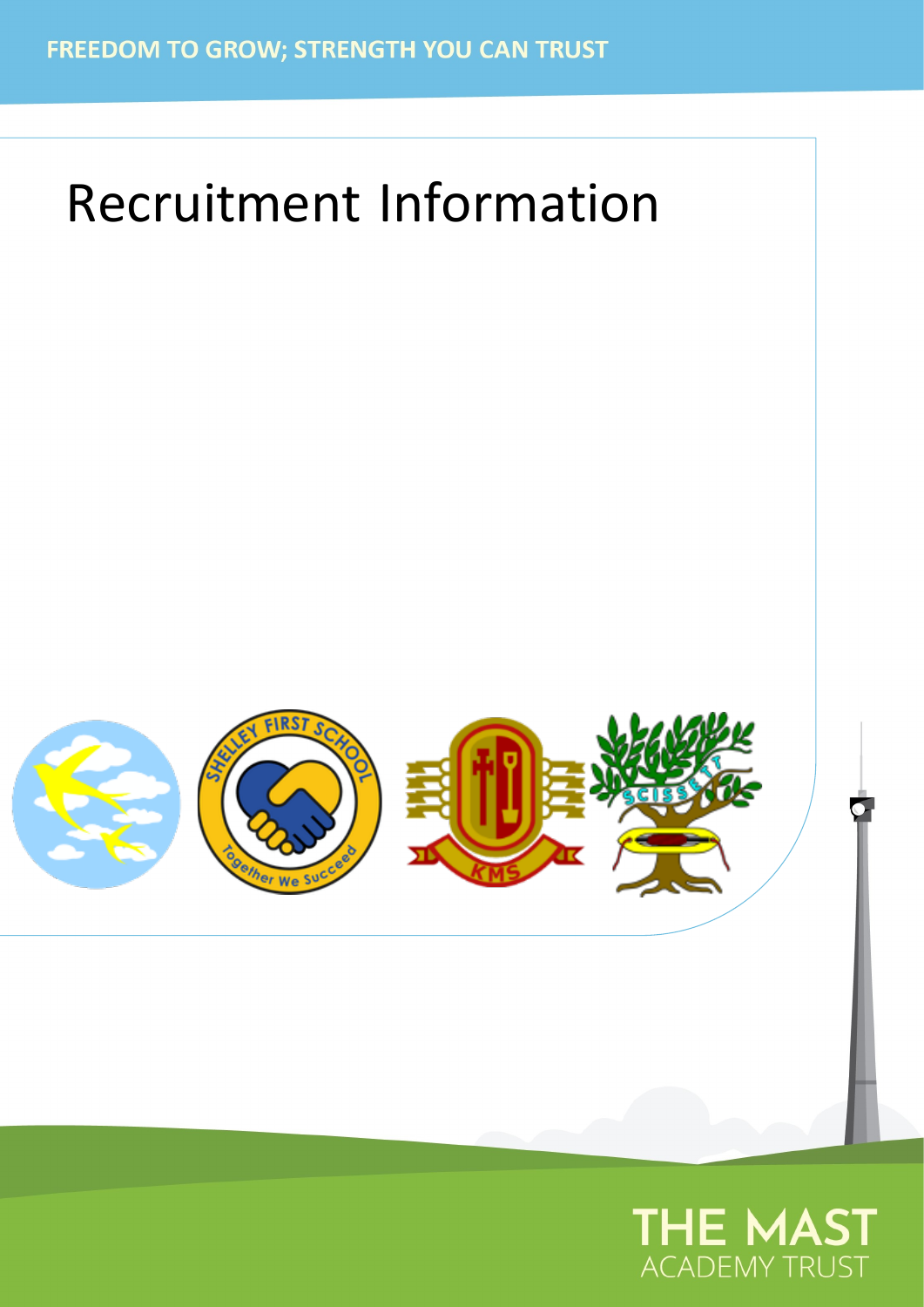# Recruitment Information



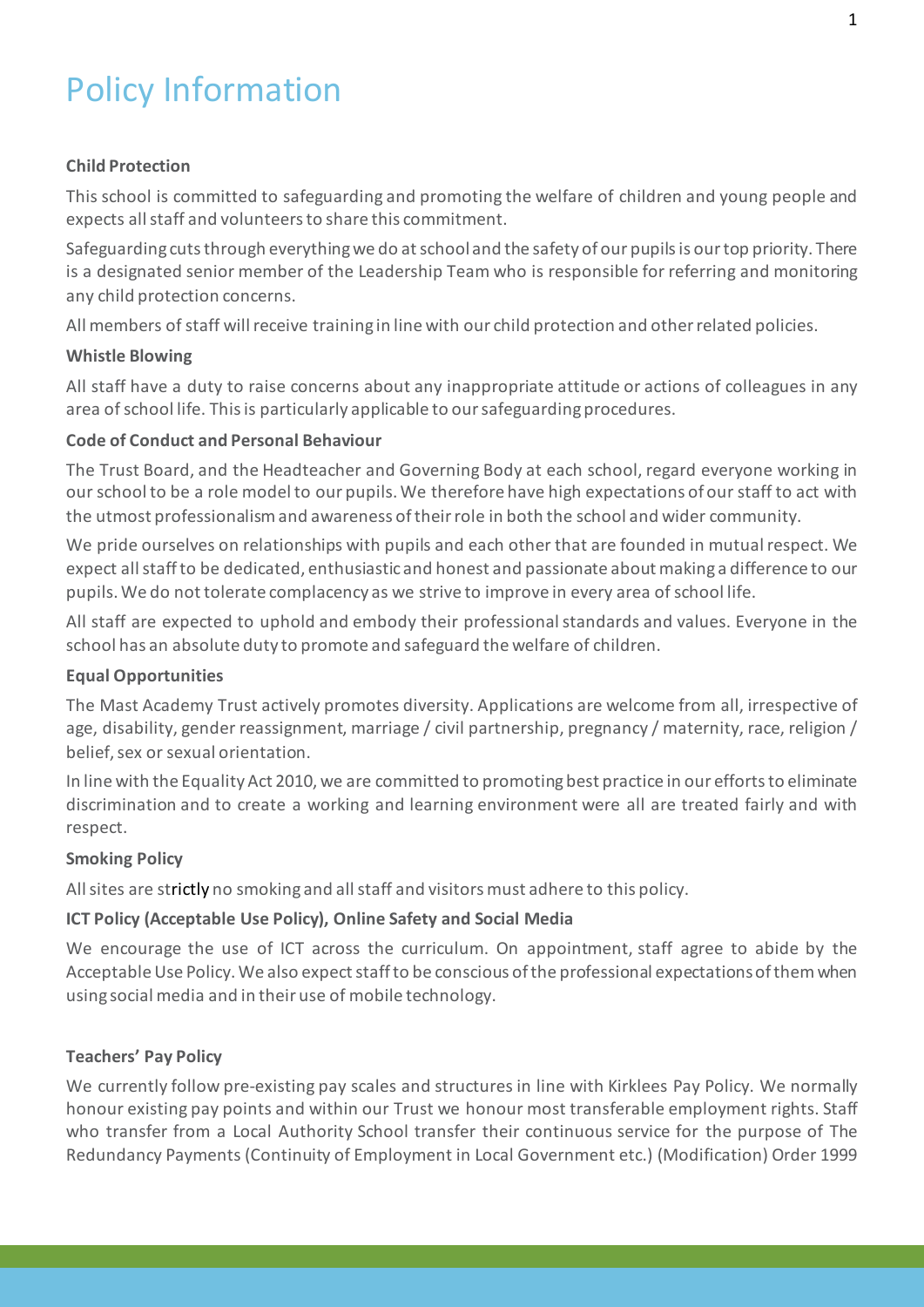# Policy Information

# **Child Protection**

This school is committed to safeguarding and promoting the welfare of children and young people and expects all staff and volunteers to share this commitment.

Safeguarding cuts through everything we do at school and the safety of our pupils is our top priority. There is a designated senior member of the Leadership Team who is responsible for referring and monitoring any child protection concerns.

All members of staff will receive training in line with our child protection and other related policies.

# **Whistle Blowing**

All staff have a duty to raise concerns about any inappropriate attitude or actions of colleagues in any area of school life. This is particularly applicable to our safeguarding procedures.

# **Code of Conduct and Personal Behaviour**

The Trust Board, and the Headteacher and Governing Body at each school, regard everyone working in our school to be a role model to our pupils. We therefore have high expectations of our staff to act with the utmost professionalism and awareness of their role in both the school and wider community.

We pride ourselves on relationships with pupils and each other that are founded in mutual respect. We expect all staff to be dedicated, enthusiastic and honest and passionate about making a difference to our pupils. We do not tolerate complacency as we strive to improve in every area of school life.

All staff are expected to uphold and embody their professional standards and values. Everyone in the school has an absolute duty to promote and safeguard the welfare of children.

# **Equal Opportunities**

The Mast Academy Trust actively promotes diversity. Applications are welcome from all, irrespective of age, disability, gender reassignment, marriage / civil partnership, pregnancy / maternity, race, religion / belief, sex or sexual orientation.

In line with the Equality Act 2010, we are committed to promoting best practice in our efforts to eliminate discrimination and to create a working and learning environment were all are treated fairly and with respect.

# **Smoking Policy**

All sites are strictly no smoking and all staff and visitors must adhere to this policy.

# **ICT Policy (Acceptable Use Policy), Online Safety and Social Media**

We encourage the use of ICT across the curriculum. On appointment, staff agree to abide by the Acceptable Use Policy. We also expect staff to be conscious of the professional expectations of them when using social media and in their use of mobile technology.

# **Teachers' Pay Policy**

We currently follow pre-existing pay scales and structures in line with Kirklees Pay Policy. We normally honour existing pay points and within our Trust we honour most transferable employment rights. Staff who transfer from a Local Authority School transfer their continuous service for the purpose of The Redundancy Payments (Continuity of Employment in Local Government etc.) (Modification) Order 1999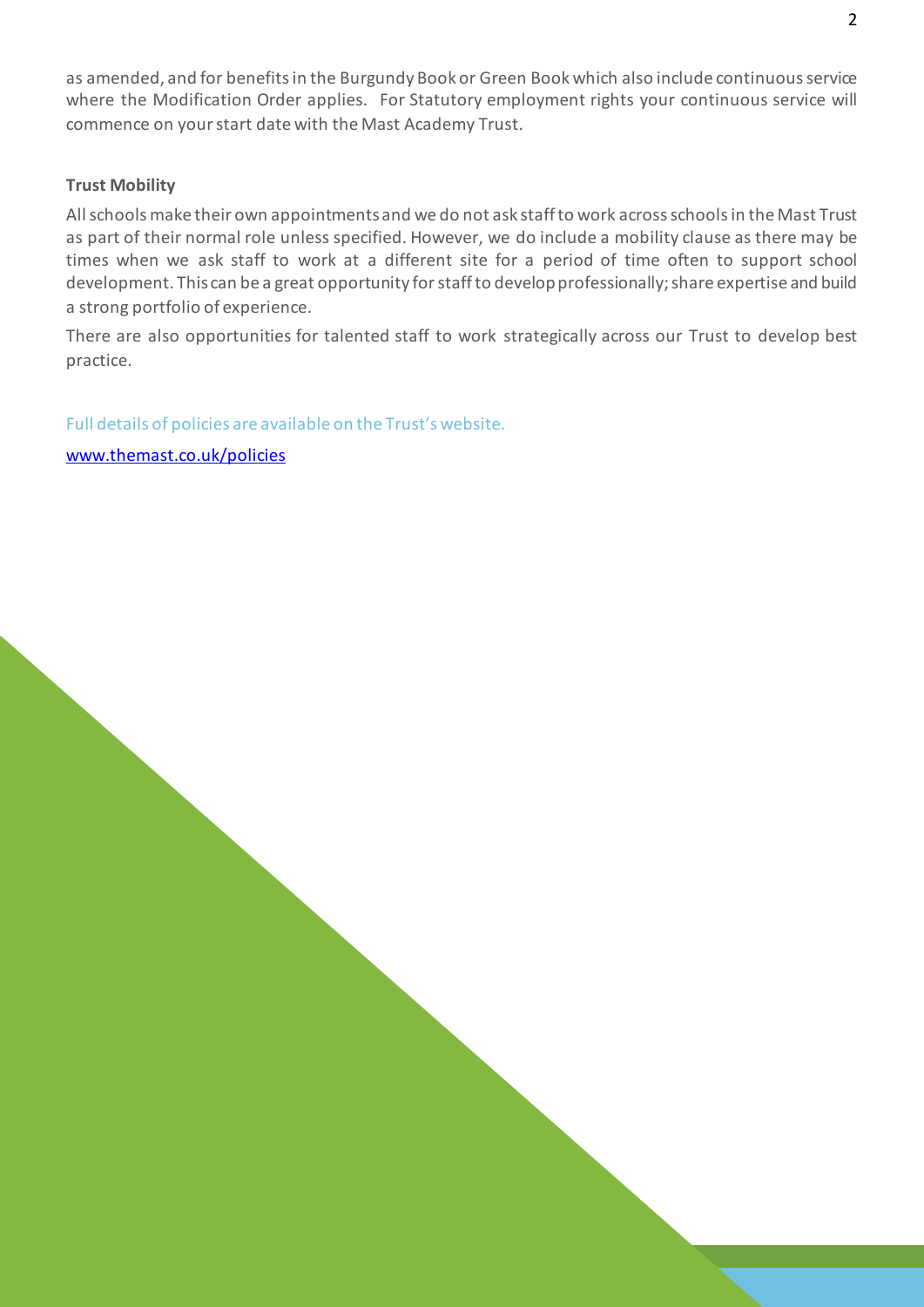as amended, and for benefits in the Burgundy Book or Green Book which also include continuous service where the Modification Order applies. For Statutory employment rights your continuous service will commence on your start date with the Mast Academy Trust.

#### **Trust Mobility**

All schools make their own appointments and we do not ask staff to work across schools in the Mast Trust as part of their normal role unless specified. However, we do include a mobility clause as there may be times when we ask staff to work at a different site for a period of time often to support school development. This can be a great opportunity for staff to develop professionally; share expertise and build a strong portfolio of experience.

There are also opportunities for talented staff to work strategically across our Trust to develop best practice.

Full details of policies are available on the Trust's website.

[www.themast.co.uk/policies](http://www.themast.co.uk/policies)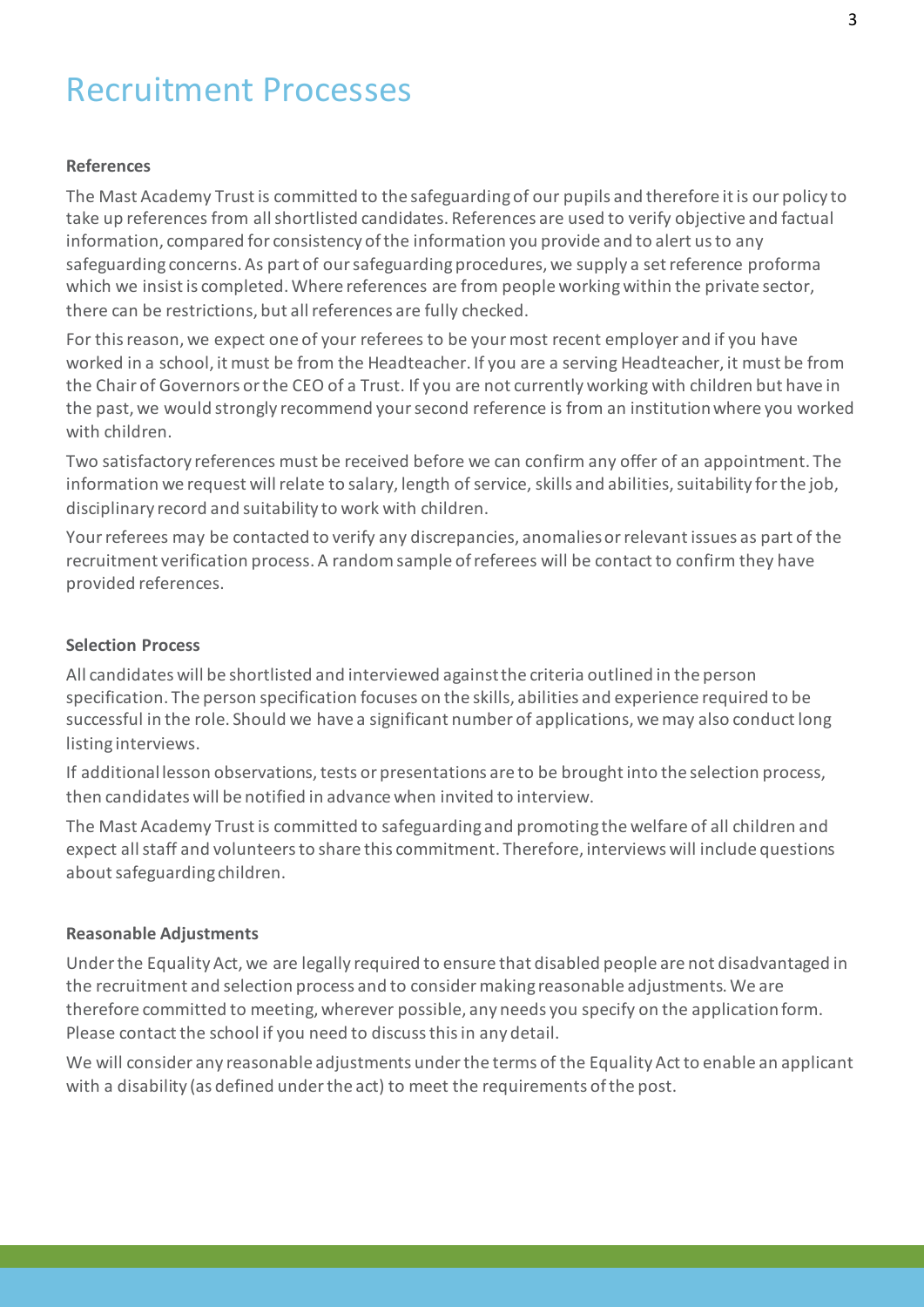# Recruitment Processes

#### **References**

The Mast Academy Trust is committed to the safeguarding of our pupils and therefore it is our policy to take up references from all shortlisted candidates. References are used to verify objective and factual information, compared for consistency of the information you provide and to alert us to any safeguarding concerns. As part of our safeguarding procedures, we supply a set reference proforma which we insist is completed. Where references are from people working within the private sector, there can be restrictions, but all references are fully checked.

For this reason, we expect one of your referees to be your most recent employer and if you have worked in a school, it must be from the Headteacher. If you are a serving Headteacher, it must be from the Chair of Governors or the CEO of a Trust. If you are not currently working with children but have in the past, we would strongly recommend your second reference is from an institution where you worked with children.

Two satisfactory references must be received before we can confirm any offer of an appointment. The information we request will relate to salary, length of service, skills and abilities, suitability for the job, disciplinary record and suitability to work with children.

Your referees may be contacted to verify any discrepancies, anomalies or relevant issues as part of the recruitment verification process. A random sample of referees will be contact to confirm they have provided references.

#### **Selection Process**

All candidates will be shortlisted and interviewed against the criteria outlined in the person specification. The person specification focuses on the skills, abilities and experience required to be successful in the role. Should we have a significant number of applications, we may also conduct long listing interviews.

If additional lesson observations, tests or presentations are to be brought into the selection process, then candidates will be notified in advance when invited to interview.

The Mast Academy Trust is committed to safeguarding and promoting the welfare of all children and expect all staff and volunteers to share this commitment. Therefore, interviews will include questions about safeguarding children.

#### **Reasonable Adjustments**

Under the Equality Act, we are legally required to ensure that disabled people are not disadvantaged in the recruitment and selection process and to consider making reasonable adjustments. We are therefore committed to meeting, wherever possible, any needs you specify on the application form. Please contact the school if you need to discuss this in any detail.

We will consider any reasonable adjustments under the terms of the Equality Act to enable an applicant with a disability (as defined under the act) to meet the requirements of the post.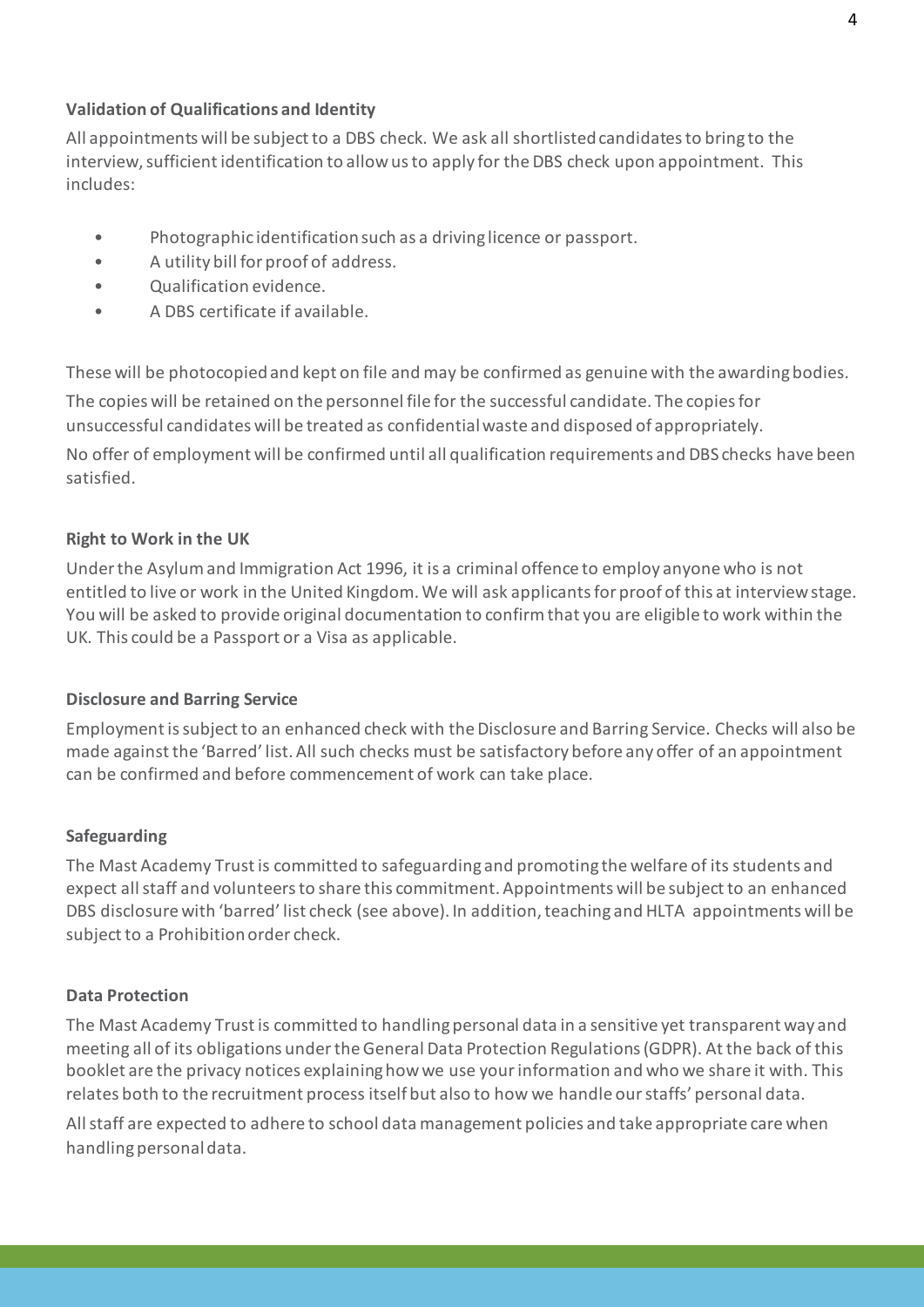# **Validation of Qualifications and Identity**

All appointments will be subject to a DBS check. We ask all shortlisted candidates to bring to the interview, sufficient identification to allow us to apply for the DBS check upon appointment. This includes:

- Photographic identification such as a driving licence or passport.
- A utility bill for proof of address.
- Qualification evidence.
- A DBS certificate if available.

These will be photocopied and kept on file and may be confirmed as genuine with the awarding bodies. The copies will be retained on the personnel file for the successful candidate. The copies for unsuccessful candidates will be treated as confidential waste and disposed of appropriately. No offer of employment will be confirmed until all qualification requirements and DBS checks have been satisfied.

# **Right to Work in the UK**

Under the Asylum and Immigration Act 1996, it is a criminal offence to employ anyone who is not entitled to live or work in the United Kingdom. We will ask applicants for proof of this at interview stage. You will be asked to provide original documentation to confirm that you are eligible to work within the UK. This could be a Passport or a Visa as applicable.

# **Disclosure and Barring Service**

Employment is subject to an enhanced check with the Disclosure and Barring Service. Checks will also be made against the 'Barred' list. All such checks must be satisfactory before any offer of an appointment can be confirmed and before commencement of work can take place.

# **Safeguarding**

The Mast Academy Trust is committed to safeguarding and promoting the welfare of its students and expect all staff and volunteers to share this commitment. Appointments will be subject to an enhanced DBS disclosure with 'barred' list check (see above). In addition, teaching and HLTA appointments will be subject to a Prohibition order check.

# **Data Protection**

The Mast Academy Trust is committed to handling personal data in a sensitive yet transparent way and meeting all of its obligations under the General Data Protection Regulations (GDPR). At the back of this booklet are the privacy notices explaining how we use your information and who we share it with. This relates both to the recruitment process itself but also to how we handle our staffs' personal data.

All staff are expected to adhere to school data management policies and take appropriate care when handling personal data.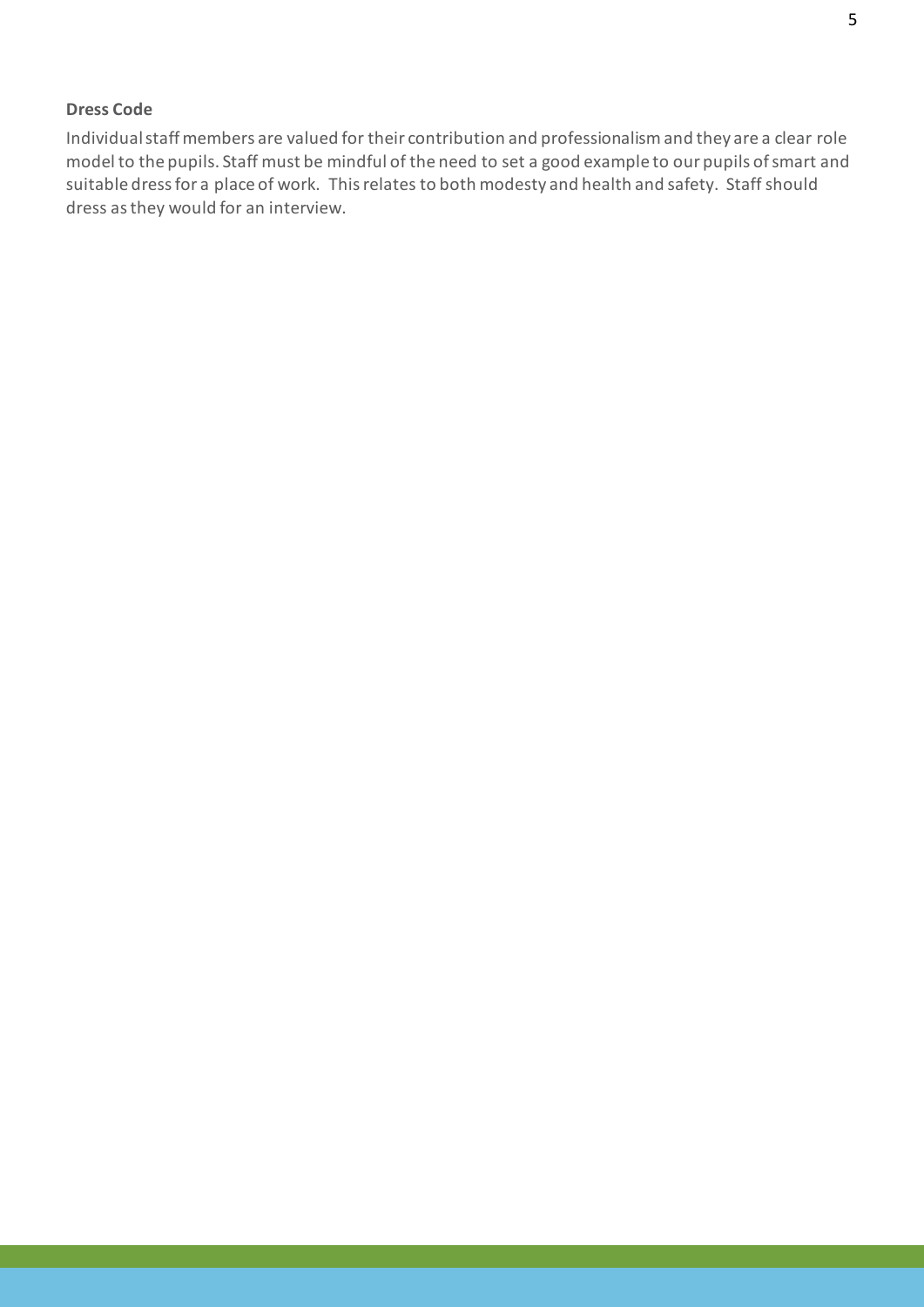#### **Dress Code**

Individual staff members are valued for their contribution and professionalism and they are a clear role model to the pupils. Staff must be mindful of the need to set a good example to our pupils of smart and suitable dress for a place of work. This relates to both modesty and health and safety. Staff should dress as they would for an interview.